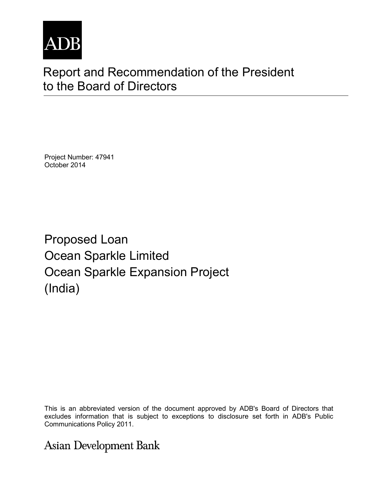

# Report and Recommendation of the President to the Board of Directors

Project Number: 47941 October 2014

Proposed Loan Ocean Sparkle Limited Ocean Sparkle Expansion Project (India)

This is an abbreviated version of the document approved by ADB's Board of Directors that excludes information that is subject to exceptions to disclosure set forth in ADB's Public Communications Policy 2011.

**Asian Development Bank**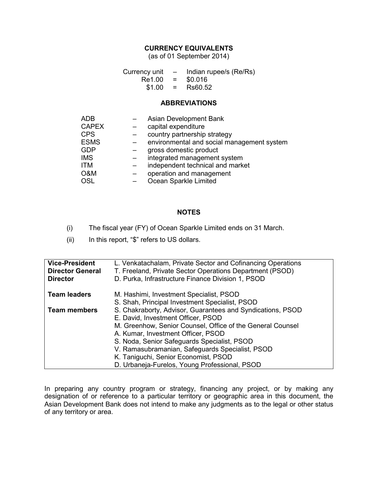## **CURRENCY EQUIVALENTS**

(as of 01 September 2014)

Currency unit  $-$  Indian rupee/s (Re/Rs)<br>Re1.00 =  $$0.016$  $Re1.00 = $0.016$ <br> $$1.00 = Rs60.52$  $$1.00 =$ 

## **ABBREVIATIONS**

| <b>ADB</b>   | Asian Development Bank                     |
|--------------|--------------------------------------------|
| <b>CAPEX</b> | capital expenditure                        |
| <b>CPS</b>   | country partnership strategy               |
| <b>ESMS</b>  | environmental and social management system |
| <b>GDP</b>   | gross domestic product                     |
| <b>IMS</b>   | integrated management system               |
| <b>ITM</b>   | independent technical and market           |
| O&M          | operation and management                   |
| <b>OSL</b>   | Ocean Sparkle Limited                      |

#### **NOTES**

- (i) The fiscal year (FY) of Ocean Sparkle Limited ends on 31 March.
- (ii) In this report, "\$" refers to US dollars.

| <b>Vice-President</b><br><b>Director General</b><br><b>Director</b> | L. Venkatachalam, Private Sector and Cofinancing Operations<br>T. Freeland, Private Sector Operations Department (PSOD)<br>D. Purka, Infrastructure Finance Division 1, PSOD |
|---------------------------------------------------------------------|------------------------------------------------------------------------------------------------------------------------------------------------------------------------------|
| <b>Team leaders</b>                                                 | M. Hashimi, Investment Specialist, PSOD                                                                                                                                      |
|                                                                     | S. Shah, Principal Investment Specialist, PSOD                                                                                                                               |
| <b>Team members</b>                                                 | S. Chakraborty, Advisor, Guarantees and Syndications, PSOD                                                                                                                   |
|                                                                     | E. David, Investment Officer, PSOD                                                                                                                                           |
|                                                                     | M. Greenhow, Senior Counsel, Office of the General Counsel                                                                                                                   |
|                                                                     | A. Kumar, Investment Officer, PSOD                                                                                                                                           |
|                                                                     | S. Noda, Senior Safeguards Specialist, PSOD                                                                                                                                  |
|                                                                     | V. Ramasubramanian, Safeguards Specialist, PSOD                                                                                                                              |
|                                                                     | K. Taniguchi, Senior Economist, PSOD                                                                                                                                         |
|                                                                     | D. Urbaneja-Furelos, Young Professional, PSOD                                                                                                                                |

In preparing any country program or strategy, financing any project, or by making any designation of or reference to a particular territory or geographic area in this document, the Asian Development Bank does not intend to make any judgments as to the legal or other status of any territory or area.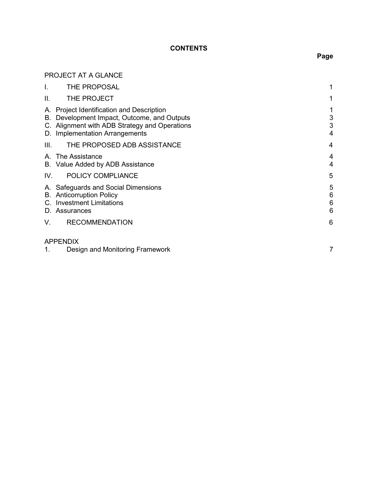# **CONTENTS**

# PROJECT AT A GLANCE

| I.   | THE PROPOSAL                                                                                                                                                                | 1                |
|------|-----------------------------------------------------------------------------------------------------------------------------------------------------------------------------|------------------|
| II.  | THE PROJECT                                                                                                                                                                 | 1                |
|      | A. Project Identification and Description<br>B. Development Impact, Outcome, and Outputs<br>C. Alignment with ADB Strategy and Operations<br>D. Implementation Arrangements | 1<br>3<br>3<br>4 |
| III. | THE PROPOSED ADB ASSISTANCE                                                                                                                                                 | 4                |
|      | A. The Assistance<br>B. Value Added by ADB Assistance                                                                                                                       | 4<br>4           |
| IV.  | POLICY COMPLIANCE                                                                                                                                                           | 5                |
|      | A. Safeguards and Social Dimensions<br><b>B.</b> Anticorruption Policy<br>C. Investment Limitations<br>D. Assurances                                                        | 5<br>6<br>6<br>6 |
| V.   | <b>RECOMMENDATION</b>                                                                                                                                                       | 6                |
|      | <b>APPENDIX</b>                                                                                                                                                             |                  |
| 1.   | Design and Monitoring Framework                                                                                                                                             |                  |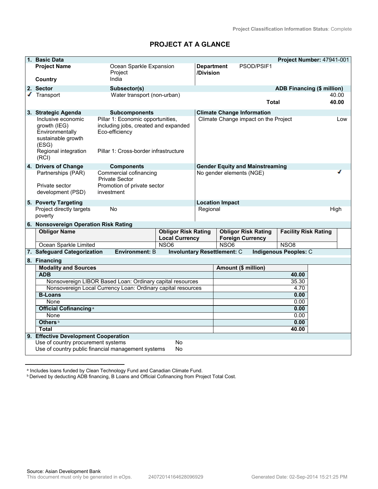# **PROJECT AT A GLANCE**

|   | 1. Basic Data                                                                                                |                                                                                                                                      |                                    |                                |                          |                                        | Project Number: 47941-001    |  |       |
|---|--------------------------------------------------------------------------------------------------------------|--------------------------------------------------------------------------------------------------------------------------------------|------------------------------------|--------------------------------|--------------------------|----------------------------------------|------------------------------|--|-------|
|   | <b>Project Name</b>                                                                                          | Ocean Sparkle Expansion<br>Project                                                                                                   |                                    | <b>Department</b><br>/Division |                          | PSOD/PSIF1                             |                              |  |       |
|   | <b>Country</b>                                                                                               | India                                                                                                                                |                                    |                                |                          |                                        |                              |  |       |
|   | 2. Sector                                                                                                    | Subsector(s)                                                                                                                         |                                    |                                |                          |                                        | ADB Financing (\$ million)   |  |       |
| ✔ | Transport                                                                                                    | Water transport (non-urban)                                                                                                          |                                    |                                |                          |                                        |                              |  | 40.00 |
|   |                                                                                                              |                                                                                                                                      |                                    |                                |                          | <b>Total</b>                           |                              |  | 40.00 |
|   | 3. Strategic Agenda                                                                                          | <b>Subcomponents</b>                                                                                                                 |                                    |                                |                          | <b>Climate Change Information</b>      |                              |  |       |
|   | Inclusive economic<br>growth (IEG)<br>Environmentally<br>sustainable growth<br>(ESG)<br>Regional integration | Pillar 1: Economic opportunities,<br>including jobs, created and expanded<br>Eco-efficiency<br>Pillar 1: Cross-border infrastructure |                                    |                                |                          | Climate Change impact on the Project   |                              |  | Low   |
|   | (RCI)                                                                                                        |                                                                                                                                      |                                    |                                |                          |                                        |                              |  |       |
|   | 4. Drivers of Change                                                                                         | <b>Components</b>                                                                                                                    |                                    |                                |                          | <b>Gender Equity and Mainstreaming</b> |                              |  |       |
|   | Partnerships (PAR)                                                                                           | Commercial cofinancing<br><b>Private Sector</b>                                                                                      |                                    |                                | No gender elements (NGE) |                                        |                              |  |       |
|   | Private sector                                                                                               | Promotion of private sector                                                                                                          |                                    |                                |                          |                                        |                              |  |       |
|   | development (PSD)                                                                                            | investment                                                                                                                           |                                    |                                |                          |                                        |                              |  |       |
|   |                                                                                                              |                                                                                                                                      |                                    |                                |                          |                                        |                              |  |       |
|   | 5. Poverty Targeting<br>Project directly targets                                                             | <b>No</b>                                                                                                                            |                                    | Regional                       | <b>Location Impact</b>   |                                        |                              |  | High  |
|   | poverty                                                                                                      |                                                                                                                                      |                                    |                                |                          |                                        |                              |  |       |
|   | 6. Nonsovereign Operation Risk Rating                                                                        |                                                                                                                                      |                                    |                                |                          |                                        |                              |  |       |
|   | <b>Obligor Name</b>                                                                                          |                                                                                                                                      | <b>Obligor Risk Rating</b>         |                                |                          | <b>Obligor Risk Rating</b>             | <b>Facility Risk Rating</b>  |  |       |
|   |                                                                                                              |                                                                                                                                      | <b>Local Currency</b>              |                                |                          | <b>Foreign Currency</b>                |                              |  |       |
|   | Ocean Sparkle Limited                                                                                        |                                                                                                                                      | <b>NSO6</b>                        |                                | <b>NSO6</b>              |                                        | <b>NSO8</b>                  |  |       |
|   | 7. Safeguard Categorization                                                                                  | <b>Environment: B</b>                                                                                                                | <b>Involuntary Resettlement: C</b> |                                |                          |                                        | <b>Indigenous Peoples: C</b> |  |       |
|   | 8. Financing                                                                                                 |                                                                                                                                      |                                    |                                |                          |                                        |                              |  |       |
|   | <b>Modality and Sources</b>                                                                                  |                                                                                                                                      |                                    |                                |                          | Amount (\$ million)                    |                              |  |       |
|   | <b>ADB</b>                                                                                                   |                                                                                                                                      |                                    |                                |                          |                                        | 40.00                        |  |       |
|   | Nonsovereign LIBOR Based Loan: Ordinary capital resources                                                    |                                                                                                                                      |                                    |                                | 35.30                    |                                        |                              |  |       |
|   | Nonsovereign Local Currency Loan: Ordinary capital resources<br><b>B-Loans</b>                               |                                                                                                                                      |                                    |                                | 4.70<br>0.00             |                                        |                              |  |       |
|   | None                                                                                                         |                                                                                                                                      |                                    |                                | 0.00                     |                                        |                              |  |       |
|   | Official Cofinancing <sup>a</sup>                                                                            |                                                                                                                                      |                                    |                                | 0.00                     |                                        |                              |  |       |
|   | None                                                                                                         |                                                                                                                                      |                                    |                                |                          |                                        | 0.00                         |  |       |
|   | Others <sup>b</sup>                                                                                          |                                                                                                                                      |                                    |                                | 0.00                     |                                        |                              |  |       |
|   | <b>Total</b>                                                                                                 |                                                                                                                                      |                                    |                                |                          |                                        | 40.00                        |  |       |
|   | 9. Effective Development Cooperation                                                                         |                                                                                                                                      |                                    |                                |                          |                                        |                              |  |       |
|   | Use of country procurement systems<br>No                                                                     |                                                                                                                                      |                                    |                                |                          |                                        |                              |  |       |
|   | Use of country public financial management systems<br>No                                                     |                                                                                                                                      |                                    |                                |                          |                                        |                              |  |       |

<sup>&</sup>lt;sup>a</sup> Includes loans funded by Clean Technology Fund and Canadian Climate Fund.

**b** Derived by deducting ADB financing, B Loans and Official Cofinancing from Project Total Cost.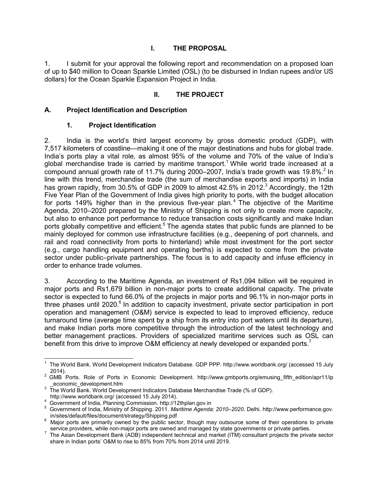# **I. THE PROPOSAL**

1. I submit for your approval the following report and recommendation on a proposed loan of up to \$40 million to Ocean Sparkle Limited (OSL) (to be disbursed in Indian rupees and/or US dollars) for the Ocean Sparkle Expansion Project in India.

# **II. THE PROJECT**

## **A. Project Identification and Description**

## **1. Project Identification**

2. India is the world's third largest economy by gross domestic product (GDP), with 7,517 kilometers of coastline—making it one of the major destinations and hubs for global trade. India's ports play a vital role, as almost 95% of the volume and 70% of the value of India's global merchandise trade is carried by maritime transport.<sup>1</sup> While world trade increased at a compound annual growth rate of 11.7% during 2000–2007, India's trade growth was 19.8%.<sup>2</sup> In line with this trend, merchandise trade (the sum of merchandise exports and imports) in India has grown rapidly, from 30.5% of GDP in 2009 to almost 42.5% in 2012. $3$  Accordingly, the 12th Five Year Plan of the Government of India gives high priority to ports, with the budget allocation for ports 149% higher than in the previous five-year plan.<sup>4</sup> The objective of the Maritime Agenda, 2010–2020 prepared by the Ministry of Shipping is not only to create more capacity, but also to enhance port performance to reduce transaction costs significantly and make Indian ports globally competitive and efficient.<sup>5</sup> The agenda states that public funds are planned to be mainly deployed for common use infrastructure facilities (e.g., deepening of port channels, and rail and road connectivity from ports to hinterland) while most investment for the port sector (e.g., cargo handling equipment and operating berths) is expected to come from the private sector under public–private partnerships. The focus is to add capacity and infuse efficiency in order to enhance trade volumes.

3. According to the Maritime Agenda, an investment of Rs1,094 billion will be required in major ports and Rs1,679 billion in non-major ports to create additional capacity. The private sector is expected to fund 66.0% of the projects in major ports and 96.1% in non-major ports in three phases until 2020.<sup>6</sup> In addition to capacity investment, private sector participation in port operation and management (O&M) service is expected to lead to improved efficiency, reduce turnaround time (average time spent by a ship from its entry into port waters until its departure), and make Indian ports more competitive through the introduction of the latest technology and better management practices. Providers of specialized maritime services such as OSL can benefit from this drive to improve O&M efficiency at newly developed or expanded ports.<sup>7</sup>

 1 The World Bank. World Development Indicators Database. GDP PPP. http://www.worldbank.org/ (accessed 15 July 2014).

<sup>&</sup>lt;sup>2</sup> GMB Ports. Role of Ports in Economic Development. http://www.gmbports.org/emusing\_fifth\_edition/apr11/ip \_economic\_development.htm

 $^3$  The World Bank. World Development Indicators Database Merchandise Trade (% of GDP).

http://www.worldbank.org/ (accessed 15 July 2014).

<sup>4</sup> Government of India, Planning Commission. http://12thplan.gov.in

<sup>5</sup> Government of India, Ministry of Shipping. 2011. *Maritime Agenda: 2010‒2020*. Delhi. http://www.performance.gov. in/sites/default/files/document/strategy/Shipping.pdf

<sup>&</sup>lt;sup>6</sup> Major ports are primarily owned by the public sector, though may outsource some of their operations to private service providers, while non-major ports are owned and managed by state governments or private parties.

 $^7$  The Asian Development Bank (ADB) independent technical and market (ITM) consultant projects the private sector share in Indian ports' O&M to rise to 85% from 70% from 2014 until 2019.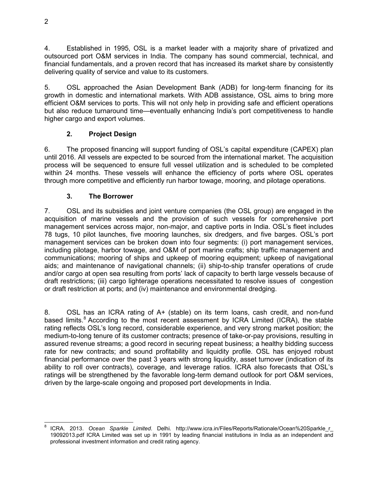4. Established in 1995, OSL is a market leader with a majority share of privatized and outsourced port O&M services in India. The company has sound commercial, technical, and financial fundamentals, and a proven record that has increased its market share by consistently delivering quality of service and value to its customers.

5. OSL approached the Asian Development Bank (ADB) for long-term financing for its growth in domestic and international markets. With ADB assistance, OSL aims to bring more efficient O&M services to ports. This will not only help in providing safe and efficient operations but also reduce turnaround time—eventually enhancing India's port competitiveness to handle higher cargo and export volumes.

# **2. Project Design**

6. The proposed financing will support funding of OSL's capital expenditure (CAPEX) plan until 2016. All vessels are expected to be sourced from the international market. The acquisition process will be sequenced to ensure full vessel utilization and is scheduled to be completed within 24 months. These vessels will enhance the efficiency of ports where OSL operates through more competitive and efficiently run harbor towage, mooring, and pilotage operations.

# **3. The Borrower**

7. OSL and its subsidies and joint venture companies (the OSL group) are engaged in the acquisition of marine vessels and the provision of such vessels for comprehensive port management services across major, non-major, and captive ports in India. OSL's fleet includes 78 tugs, 10 pilot launches, five mooring launches, six dredgers, and five barges. OSL's port management services can be broken down into four segments: (i) port management services, including pilotage, harbor towage, and O&M of port marine crafts; ship traffic management and communications; mooring of ships and upkeep of mooring equipment; upkeep of navigational aids; and maintenance of navigational channels; (ii) ship-to-ship transfer operations of crude and/or cargo at open sea resulting from ports' lack of capacity to berth large vessels because of draft restrictions; (iii) cargo lighterage operations necessitated to resolve issues of congestion or draft restriction at ports; and (iv) maintenance and environmental dredging.

8. OSL has an ICRA rating of A+ (stable) on its term loans, cash credit, and non-fund based limits.<sup>8</sup> According to the most recent assessment by ICRA Limited (ICRA), the stable rating reflects OSL's long record, considerable experience, and very strong market position; the medium-to-long tenure of its customer contracts; presence of take-or-pay provisions, resulting in assured revenue streams; a good record in securing repeat business; a healthy bidding success rate for new contracts; and sound profitability and liquidity profile. OSL has enjoyed robust financial performance over the past 3 years with strong liquidity, asset turnover (indication of its ability to roll over contracts), coverage, and leverage ratios. ICRA also forecasts that OSL's ratings will be strengthened by the favorable long-term demand outlook for port O&M services, driven by the large-scale ongoing and proposed port developments in India.

 $\overline{a}$ 8 ICRA. 2013. *Ocean Sparkle Limited*. Delhi. http://www.icra.in/Files/Reports/Rationale/Ocean%20Sparkle\_r\_ 19092013.pdf ICRA Limited was set up in 1991 by leading financial institutions in India as an independent and professional investment information and credit rating agency.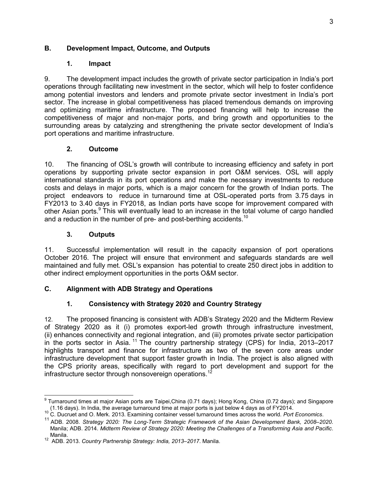# **B. Development Impact, Outcome, and Outputs**

# **1. Impact**

9. The development impact includes the growth of private sector participation in India's port operations through facilitating new investment in the sector, which will help to foster confidence among potential investors and lenders and promote private sector investment in India's port sector. The increase in global competitiveness has placed tremendous demands on improving and optimizing maritime infrastructure. The proposed financing will help to increase the competitiveness of major and non-major ports, and bring growth and opportunities to the surrounding areas by catalyzing and strengthening the private sector development of India's port operations and maritime infrastructure.

# **2. Outcome**

10. The financing of OSL's growth will contribute to increasing efficiency and safety in port operations by supporting private sector expansion in port O&M services. OSL will apply international standards in its port operations and make the necessary investments to reduce costs and delays in major ports, which is a major concern for the growth of Indian ports. The project endeavors to reduce in turnaround time at OSL-operated ports from 3.75 days in FY2013 to 3.40 days in FY2018, as Indian ports have scope for improvement compared with other Asian ports.<sup>9</sup> This will eventually lead to an increase in the total volume of cargo handled and a reduction in the number of pre- and post-berthing accidents.<sup>10</sup>

# **3. Outputs**

11. Successful implementation will result in the capacity expansion of port operations October 2016. The project will ensure that environment and safeguards standards are well maintained and fully met. OSL's expansion has potential to create 250 direct jobs in addition to other indirect employment opportunities in the ports O&M sector.

# **C. Alignment with ADB Strategy and Operations**

# **1. Consistency with Strategy 2020 and Country Strategy**

12. The proposed financing is consistent with ADB's Strategy 2020 and the Midterm Review of Strategy 2020 as it (i) promotes export-led growth through infrastructure investment, (ii) enhances connectivity and regional integration, and (iii) promotes private sector participation in the ports sector in Asia.<sup>11</sup> The country partnership strategy (CPS) for India, 2013–2017 highlights transport and finance for infrastructure as two of the seven core areas under infrastructure development that support faster growth in India. The project is also aligned with the CPS priority areas, specifically with regard to port development and support for the infrastructure sector through nonsovereign operations.<sup>12</sup>

 9 Turnaround times at major Asian ports are Taipei,China (0.71 days); Hong Kong, China (0.72 days); and Singapore (1.16 days). In India, the average turnaround time at major ports is just below 4 days as of FY2014.

<sup>10</sup> C. Ducruet and O. Merk. 2013. Examining container vessel turnaround times across the world*. Port Economics*.

<sup>&</sup>lt;sup>11</sup> ADB. 2008. Strategy 2020: The Long-Term Strategic Framework of the Asian Development Bank, 2008–2020. Manila; ADB. 2014. *Midterm Review of Strategy 2020: Meeting the Challenges of a Transforming Asia and Pacific*.

Manila. <sup>12</sup> ADB. 2013. *Country Partnership Strategy: India, 2013‒2017*. Manila.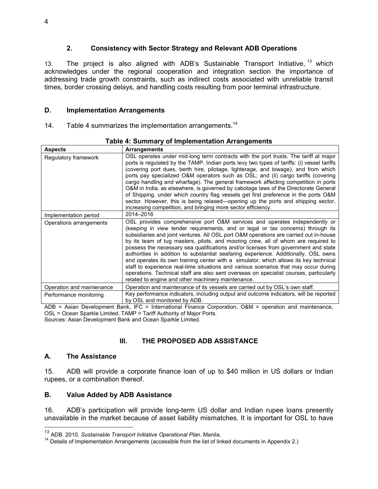## **2. Consistency with Sector Strategy and Relevant ADB Operations**

13. The project is also aligned with ADB's Sustainable Transport Initiative, <sup>13</sup> which acknowledges under the regional cooperation and integration section the importance of addressing trade growth constraints, such as indirect costs associated with unreliable transit times, border crossing delays, and handling costs resulting from poor terminal infrastructure.

## **D. Implementation Arrangements**

14. Table 4 summarizes the implementation arrangements.<sup>14</sup>

| <b>Aspects</b>            | Arrangements                                                                                                                                                                                                                                                                                                                                                                                                                                                                                                                                                                                                                                                                                                                                                                                                                                              |
|---------------------------|-----------------------------------------------------------------------------------------------------------------------------------------------------------------------------------------------------------------------------------------------------------------------------------------------------------------------------------------------------------------------------------------------------------------------------------------------------------------------------------------------------------------------------------------------------------------------------------------------------------------------------------------------------------------------------------------------------------------------------------------------------------------------------------------------------------------------------------------------------------|
| Regulatory framework      | OSL operates under mid-long term contracts with the port trusts. The tariff at major<br>ports is regulated by the TAMP. Indian ports levy two types of tariffs: (i) vessel tariffs<br>(covering port dues, berth hire, pilotage, lighterage, and towage), and from which<br>ports pay specialized O&M operators such as OSL; and (ii) cargo tariffs (covering<br>cargo handling and wharfage). The general framework affecting competition in ports<br>O&M in India, as elsewhere, is governed by cabotage laws of the Directorate General<br>of Shipping, under which country flag vessels get first preference in the ports O&M<br>sector. However, this is being relaxed—opening up the ports and shipping sector,<br>increasing competition, and bringing more sector efficiency.                                                                     |
| Implementation period     | 2014-2016                                                                                                                                                                                                                                                                                                                                                                                                                                                                                                                                                                                                                                                                                                                                                                                                                                                 |
| Operations arrangements   | OSL provides comprehensive port O&M services and operates independently or<br>(keeping in view tender requirements, and or legal or tax concerns) through its<br>subsidiaries and joint ventures. All OSL port O&M operations are carried out in-house<br>by its team of tug masters, pilots, and mooring crew, all of whom are required to<br>possess the necessary sea qualifications and/or licenses from government and state<br>authorities in addition to substantial seafaring experience. Additionally, OSL owns<br>and operates its own training center with a simulator, which allows its key technical<br>staff to experience real-time situations and various scenarios that may occur during<br>operations. Technical staff are also sent overseas on specialist courses, particularly<br>related to engine and other machinery maintenance. |
| Operation and maintenance | Operation and maintenance of its vessels are carried out by OSL's own staff.                                                                                                                                                                                                                                                                                                                                                                                                                                                                                                                                                                                                                                                                                                                                                                              |
| Performance monitoring    | Key performance indicators, including output and outcome indicators, will be reported<br>by OSL and monitored by ADB.                                                                                                                                                                                                                                                                                                                                                                                                                                                                                                                                                                                                                                                                                                                                     |

### **Table 4: Summary of Implementation Arrangements**

ADB = Asian Development Bank, IFC = International Finance Corporation, O&M = operation and maintenance, OSL = Ocean Sparkle Limited, TAMP = Tariff Authority of Major Ports. Sources: Asian Development Bank and Ocean Sparkle Limited.

# **III. THE PROPOSED ADB ASSISTANCE**

## **A. The Assistance**

 $\overline{a}$ 

15. ADB will provide a corporate finance loan of up to \$40 million in US dollars or Indian rupees, or a combination thereof.

# **B. Value Added by ADB Assistance**

16. ADB's participation will provide long-term US dollar and Indian rupee loans presently unavailable in the market because of asset liability mismatches. It is important for OSL to have

<sup>13</sup> ADB. 2010. *Sustainable Transport Initiative Operational Plan*. Manila.

<sup>&</sup>lt;sup>14</sup> Details of Implementation Arrangements (accessible from the list of linked documents in Appendix 2.)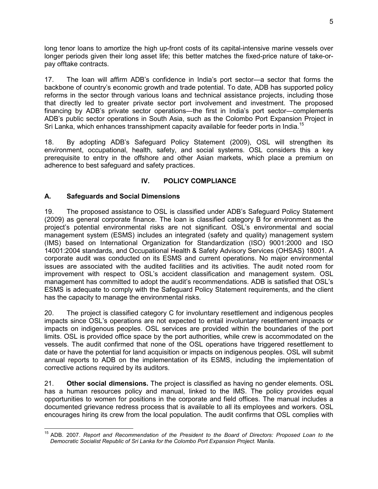long tenor loans to amortize the high up-front costs of its capital-intensive marine vessels over longer periods given their long asset life; this better matches the fixed-price nature of take-orpay offtake contracts.

17. The loan will affirm ADB's confidence in India's port sector—a sector that forms the backbone of country's economic growth and trade potential. To date, ADB has supported policy reforms in the sector through various loans and technical assistance projects, including those that directly led to greater private sector port involvement and investment. The proposed financing by ADB's private sector operations—the first in India's port sector—complements ADB's public sector operations in South Asia, such as the Colombo Port Expansion Project in Sri Lanka, which enhances transshipment capacity available for feeder ports in India.<sup>15</sup>

18. By adopting ADB's Safeguard Policy Statement (2009), OSL will strengthen its environment, occupational, health, safety, and social systems. OSL considers this a key prerequisite to entry in the offshore and other Asian markets, which place a premium on adherence to best safeguard and safety practices.

# **IV. POLICY COMPLIANCE**

# **A. Safeguards and Social Dimensions**

19. The proposed assistance to OSL is classified under ADB's Safeguard Policy Statement (2009) as general corporate finance. The loan is classified category B for environment as the project's potential environmental risks are not significant. OSL's environmental and social management system (ESMS) includes an integrated (safety and quality) management system (IMS) based on International Organization for Standardization (ISO) 9001:2000 and ISO 14001:2004 standards, and Occupational Health & Safety Advisory Services (OHSAS) 18001. A corporate audit was conducted on its ESMS and current operations. No major environmental issues are associated with the audited facilities and its activities. The audit noted room for improvement with respect to OSL's accident classification and management system. OSL management has committed to adopt the audit's recommendations. ADB is satisfied that OSL's ESMS is adequate to comply with the Safeguard Policy Statement requirements, and the client has the capacity to manage the environmental risks.

20. The project is classified category C for involuntary resettlement and indigenous peoples impacts since OSL's operations are not expected to entail involuntary resettlement impacts or impacts on indigenous peoples. OSL services are provided within the boundaries of the port limits. OSL is provided office space by the port authorities, while crew is accommodated on the vessels. The audit confirmed that none of the OSL operations have triggered resettlement to date or have the potential for land acquisition or impacts on indigenous peoples. OSL will submit annual reports to ADB on the implementation of its ESMS, including the implementation of corrective actions required by its auditors.

21. **Other social dimensions.** The project is classified as having no gender elements. OSL has a human resources policy and manual, linked to the IMS. The policy provides equal opportunities to women for positions in the corporate and field offices. The manual includes a documented grievance redress process that is available to all its employees and workers. OSL encourages hiring its crew from the local population. The audit confirms that OSL complies with

 $\overline{1}$ <sup>15</sup> ADB. 2007. *Report and Recommendation of the President to the Board of Directors: Proposed Loan to the Democratic Socialist Republic of Sri Lanka for the Colombo Port Expansion Project.* Manila.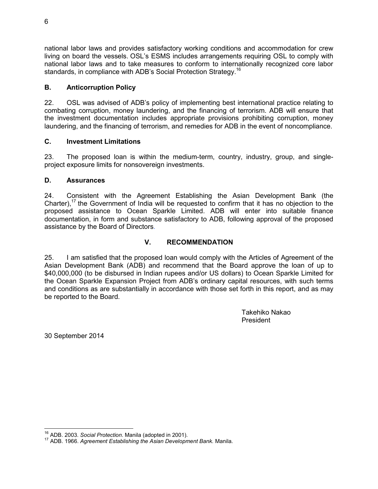national labor laws and provides satisfactory working conditions and accommodation for crew living on board the vessels. OSL's ESMS includes arrangements requiring OSL to comply with national labor laws and to take measures to conform to internationally recognized core labor standards, in compliance with ADB's Social Protection Strategy.<sup>16</sup>

## **B. Anticorruption Policy**

22. OSL was advised of ADB's policy of implementing best international practice relating to combating corruption, money laundering, and the financing of terrorism. ADB will ensure that the investment documentation includes appropriate provisions prohibiting corruption, money laundering, and the financing of terrorism, and remedies for ADB in the event of noncompliance.

## **C. Investment Limitations**

23. The proposed loan is within the medium-term, country, industry, group, and singleproject exposure limits for nonsovereign investments.

## **D. Assurances**

24. Consistent with the Agreement Establishing the Asian Development Bank (the Charter),<sup>17</sup> the Government of India will be requested to confirm that it has no objection to the proposed assistance to Ocean Sparkle Limited. ADB will enter into suitable finance documentation, in form and substance satisfactory to ADB, following approval of the proposed assistance by the Board of Directors.

# **V. RECOMMENDATION**

25. I am satisfied that the proposed loan would comply with the Articles of Agreement of the Asian Development Bank (ADB) and recommend that the Board approve the loan of up to \$40,000,000 (to be disbursed in Indian rupees and/or US dollars) to Ocean Sparkle Limited for the Ocean Sparkle Expansion Project from ADB's ordinary capital resources, with such terms and conditions as are substantially in accordance with those set forth in this report, and as may be reported to the Board.

> Takehiko Nakao President

30 September 2014

 $\overline{\phantom{a}}$ <sup>16</sup> ADB. 2003. *Social Protection*. Manila (adopted in 2001).

<sup>17</sup> ADB. 1966. *Agreement Establishing the Asian Development Bank.* Manila.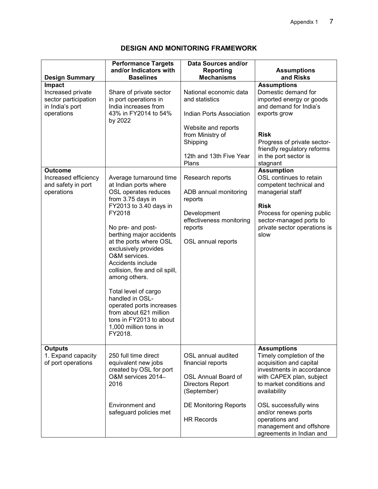# **DESIGN AND MONITORING FRAMEWORK**

| <b>Design Summary</b>                                                                       | <b>Performance Targets</b><br>and/or Indicators with<br><b>Baselines</b>                                                                                                                                                                                                                                                                                                                                                                                                                      | <b>Data Sources and/or</b><br>Reporting<br><b>Mechanisms</b>                                                                                                           | <b>Assumptions</b><br>and Risks                                                                                                                                                                                                                                                                         |
|---------------------------------------------------------------------------------------------|-----------------------------------------------------------------------------------------------------------------------------------------------------------------------------------------------------------------------------------------------------------------------------------------------------------------------------------------------------------------------------------------------------------------------------------------------------------------------------------------------|------------------------------------------------------------------------------------------------------------------------------------------------------------------------|---------------------------------------------------------------------------------------------------------------------------------------------------------------------------------------------------------------------------------------------------------------------------------------------------------|
| <b>Impact</b><br>Increased private<br>sector participation<br>in India's port<br>operations | Share of private sector<br>in port operations in<br>India increases from<br>43% in FY2014 to 54%<br>by 2022                                                                                                                                                                                                                                                                                                                                                                                   | National economic data<br>and statistics<br><b>Indian Ports Association</b><br>Website and reports<br>from Ministry of<br>Shipping<br>12th and 13th Five Year<br>Plans | <b>Assumptions</b><br>Domestic demand for<br>imported energy or goods<br>and demand for India's<br>exports grow<br><b>Risk</b><br>Progress of private sector-<br>friendly regulatory reforms<br>in the port sector is<br>stagnant                                                                       |
| <b>Outcome</b><br>Increased efficiency<br>and safety in port<br>operations                  | Average turnaround time<br>at Indian ports where<br>OSL operates reduces<br>from 3.75 days in<br>FY2013 to 3.40 days in<br>FY2018<br>No pre- and post-<br>berthing major accidents<br>at the ports where OSL<br>exclusively provides<br>O&M services.<br>Accidents include<br>collision, fire and oil spill,<br>among others.<br>Total level of cargo<br>handled in OSL-<br>operated ports increases<br>from about 621 million<br>tons in FY2013 to about<br>1,000 million tons in<br>FY2018. | Research reports<br>ADB annual monitoring<br>reports<br>Development<br>effectiveness monitoring<br>reports<br>OSL annual reports                                       | <b>Assumption</b><br>OSL continues to retain<br>competent technical and<br>managerial staff<br><b>Risk</b><br>Process for opening public<br>sector-managed ports to<br>private sector operations is<br>slow                                                                                             |
| <b>Outputs</b><br>1. Expand capacity<br>of port operations                                  | 250 full time direct<br>equivalent new jobs<br>created by OSL for port<br>O&M services 2014-<br>2016<br>Environment and<br>safeguard policies met                                                                                                                                                                                                                                                                                                                                             | OSL annual audited<br>financial reports<br><b>OSL Annual Board of</b><br>Directors Report<br>(September)<br><b>DE Monitoring Reports</b><br><b>HR Records</b>          | <b>Assumptions</b><br>Timely completion of the<br>acquisition and capital<br>investments in accordance<br>with CAPEX plan, subject<br>to market conditions and<br>availability<br>OSL successfully wins<br>and/or renews ports<br>operations and<br>management and offshore<br>agreements in Indian and |